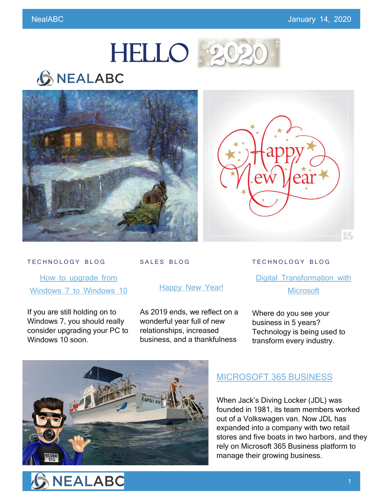

## **GNEALABC**





#### TECHNOLOGY BLOG

How to upgrade from [Windows 7 to Windows 10](https://www.nealabc.com/how-to-upgrade-from-windows-7-to-windows-10/)

If you are still holding on to Windows 7, you should really consider upgrading your PC to Windows 10 soon.

### SALES BLOG

### [Happy New Year!](https://www.nealabc.com/happy-new-year/)

As 2019 ends, we reflect on a wonderful year full of new relationships, increased business, and a thankfulness

TECHNOLOGY BLOG

**[Digital Transformation](https://www.nealabc.com/digital-transformation-with-microsoft/?utm_source=rss&utm_medium=rss&utm_campaign=digital-transformation-with-microsoft) with [Microsoft](https://www.nealabc.com/digital-transformation-with-microsoft/?utm_source=rss&utm_medium=rss&utm_campaign=digital-transformation-with-microsoft)** 

Where do you see your business in 5 years? Technology is being used to transform every industry.



## MICROSOFT [365 BUSINESS](https://www.nealabc.com/small-town-diving-business-makes-global-impact-with-microsoft-365-business/)

When Jack's Diving Locker (JDL) was founded in 1981, its team members worked out of a Volkswagen van. Now JDL has expanded into a company with two retail stores and five boats in two harbors, and they rely on Microsoft 365 Business platform to manage their growing business.